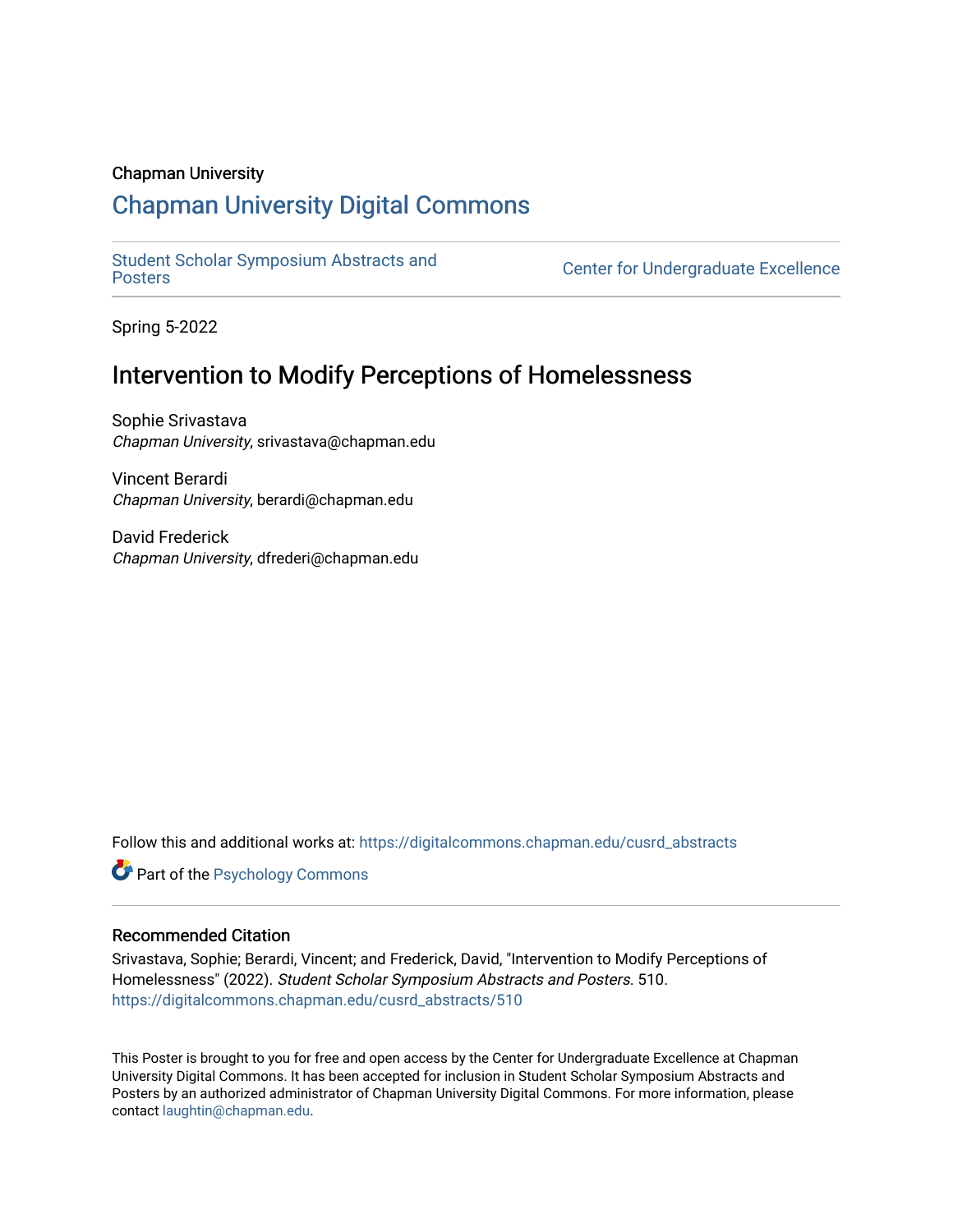### Chapman University

### [Chapman University Digital Commons](https://digitalcommons.chapman.edu/)

[Student Scholar Symposium Abstracts and](https://digitalcommons.chapman.edu/cusrd_abstracts) 

**Center for Undergraduate Excellence** 

Spring 5-2022

### Intervention to Modify Perceptions of Homelessness

Sophie Srivastava Chapman University, srivastava@chapman.edu

Vincent Berardi Chapman University, berardi@chapman.edu

David Frederick Chapman University, dfrederi@chapman.edu

Follow this and additional works at: [https://digitalcommons.chapman.edu/cusrd\\_abstracts](https://digitalcommons.chapman.edu/cusrd_abstracts?utm_source=digitalcommons.chapman.edu%2Fcusrd_abstracts%2F510&utm_medium=PDF&utm_campaign=PDFCoverPages) 

**Part of the Psychology Commons** 

### Recommended Citation

Srivastava, Sophie; Berardi, Vincent; and Frederick, David, "Intervention to Modify Perceptions of Homelessness" (2022). Student Scholar Symposium Abstracts and Posters. 510. [https://digitalcommons.chapman.edu/cusrd\\_abstracts/510](https://digitalcommons.chapman.edu/cusrd_abstracts/510?utm_source=digitalcommons.chapman.edu%2Fcusrd_abstracts%2F510&utm_medium=PDF&utm_campaign=PDFCoverPages) 

This Poster is brought to you for free and open access by the Center for Undergraduate Excellence at Chapman University Digital Commons. It has been accepted for inclusion in Student Scholar Symposium Abstracts and Posters by an authorized administrator of Chapman University Digital Commons. For more information, please contact [laughtin@chapman.edu](mailto:laughtin@chapman.edu).